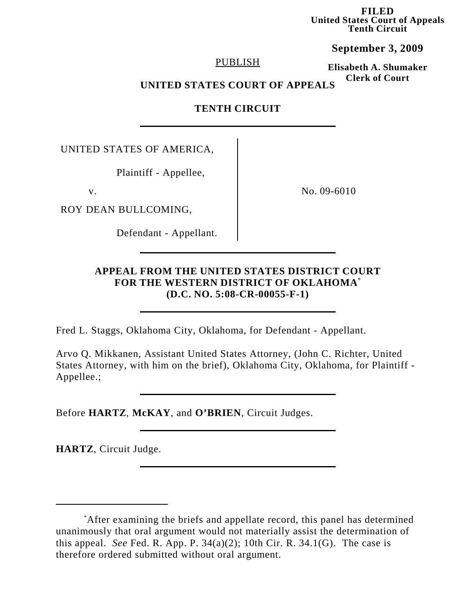**FILED United States Court of Appeals Tenth Circuit**

**September 3, 2009**

## PUBLISH

**Elisabeth A. Shumaker Clerk of Court**

# **UNITED STATES COURT OF APPEALS**

# **TENTH CIRCUIT**

UNITED STATES OF AMERICA,

Plaintiff - Appellee,

ROY DEAN BULLCOMING,

Defendant - Appellant.

v. No. 09-6010

# **APPEAL FROM THE UNITED STATES DISTRICT COURT FOR THE WESTERN DISTRICT OF OKLAHOMA**\* **(D.C. NO. 5:08-CR-00055-F-1)**

Fred L. Staggs, Oklahoma City, Oklahoma, for Defendant - Appellant.

Arvo Q. Mikkanen, Assistant United States Attorney, (John C. Richter, United States Attorney, with him on the brief), Oklahoma City, Oklahoma, for Plaintiff - Appellee.;

Before **HARTZ**, **McKAY**, and **O'BRIEN**, Circuit Judges.

**HARTZ**, Circuit Judge.

<sup>\*</sup> After examining the briefs and appellate record, this panel has determined unanimously that oral argument would not materially assist the determination of this appeal. *See* Fed. R. App. P.  $34(a)(2)$ ; 10th Cir. R.  $34.1(G)$ . The case is therefore ordered submitted without oral argument.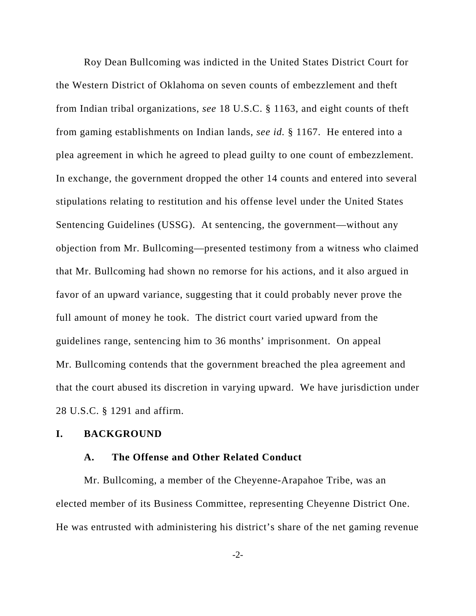Roy Dean Bullcoming was indicted in the United States District Court for the Western District of Oklahoma on seven counts of embezzlement and theft from Indian tribal organizations, *see* 18 U.S.C. § 1163, and eight counts of theft from gaming establishments on Indian lands, *see id.* § 1167. He entered into a plea agreement in which he agreed to plead guilty to one count of embezzlement. In exchange, the government dropped the other 14 counts and entered into several stipulations relating to restitution and his offense level under the United States Sentencing Guidelines (USSG). At sentencing, the government—without any objection from Mr. Bullcoming—presented testimony from a witness who claimed that Mr. Bullcoming had shown no remorse for his actions, and it also argued in favor of an upward variance, suggesting that it could probably never prove the full amount of money he took. The district court varied upward from the guidelines range, sentencing him to 36 months' imprisonment. On appeal Mr. Bullcoming contends that the government breached the plea agreement and that the court abused its discretion in varying upward. We have jurisdiction under 28 U.S.C. § 1291 and affirm.

#### **I. BACKGROUND**

#### **A. The Offense and Other Related Conduct**

Mr. Bullcoming, a member of the Cheyenne-Arapahoe Tribe, was an elected member of its Business Committee, representing Cheyenne District One. He was entrusted with administering his district's share of the net gaming revenue

-2-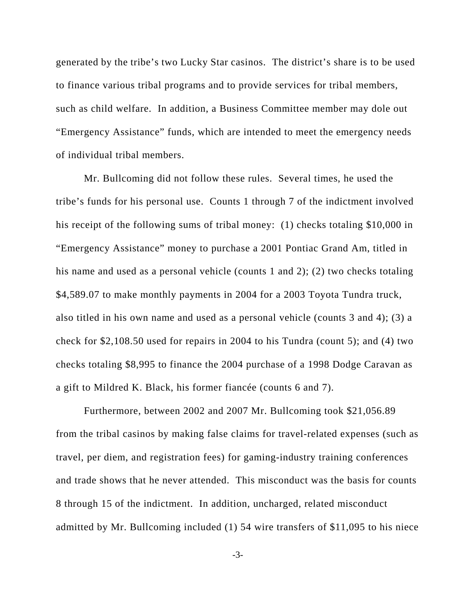generated by the tribe's two Lucky Star casinos. The district's share is to be used to finance various tribal programs and to provide services for tribal members, such as child welfare. In addition, a Business Committee member may dole out "Emergency Assistance" funds, which are intended to meet the emergency needs of individual tribal members.

Mr. Bullcoming did not follow these rules. Several times, he used the tribe's funds for his personal use. Counts 1 through 7 of the indictment involved his receipt of the following sums of tribal money: (1) checks totaling \$10,000 in "Emergency Assistance" money to purchase a 2001 Pontiac Grand Am, titled in his name and used as a personal vehicle (counts 1 and 2); (2) two checks totaling \$4,589.07 to make monthly payments in 2004 for a 2003 Toyota Tundra truck, also titled in his own name and used as a personal vehicle (counts 3 and 4); (3) a check for \$2,108.50 used for repairs in 2004 to his Tundra (count 5); and (4) two checks totaling \$8,995 to finance the 2004 purchase of a 1998 Dodge Caravan as a gift to Mildred K. Black, his former fiancée (counts 6 and 7).

Furthermore, between 2002 and 2007 Mr. Bullcoming took \$21,056.89 from the tribal casinos by making false claims for travel-related expenses (such as travel, per diem, and registration fees) for gaming-industry training conferences and trade shows that he never attended. This misconduct was the basis for counts 8 through 15 of the indictment. In addition, uncharged, related misconduct admitted by Mr. Bullcoming included (1) 54 wire transfers of \$11,095 to his niece

-3-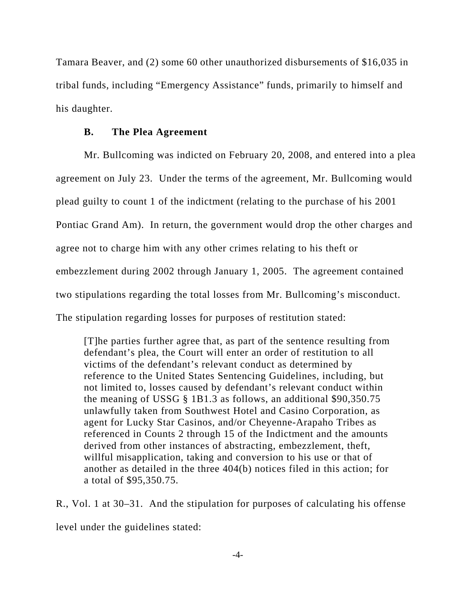Tamara Beaver, and (2) some 60 other unauthorized disbursements of \$16,035 in tribal funds, including "Emergency Assistance" funds, primarily to himself and his daughter.

#### **B. The Plea Agreement**

Mr. Bullcoming was indicted on February 20, 2008, and entered into a plea agreement on July 23. Under the terms of the agreement, Mr. Bullcoming would plead guilty to count 1 of the indictment (relating to the purchase of his 2001 Pontiac Grand Am). In return, the government would drop the other charges and agree not to charge him with any other crimes relating to his theft or embezzlement during 2002 through January 1, 2005. The agreement contained two stipulations regarding the total losses from Mr. Bullcoming's misconduct. The stipulation regarding losses for purposes of restitution stated:

[T]he parties further agree that, as part of the sentence resulting from defendant's plea, the Court will enter an order of restitution to all victims of the defendant's relevant conduct as determined by reference to the United States Sentencing Guidelines, including, but not limited to, losses caused by defendant's relevant conduct within the meaning of USSG § 1B1.3 as follows, an additional \$90,350.75 unlawfully taken from Southwest Hotel and Casino Corporation, as agent for Lucky Star Casinos, and/or Cheyenne-Arapaho Tribes as referenced in Counts 2 through 15 of the Indictment and the amounts derived from other instances of abstracting, embezzlement, theft, willful misapplication, taking and conversion to his use or that of another as detailed in the three 404(b) notices filed in this action; for a total of \$95,350.75.

R., Vol. 1 at 30–31. And the stipulation for purposes of calculating his offense level under the guidelines stated: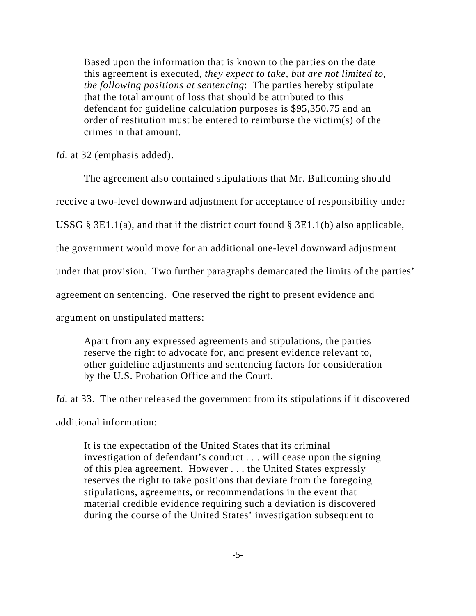Based upon the information that is known to the parties on the date this agreement is executed, *they expect to take, but are not limited to, the following positions at sentencing*: The parties hereby stipulate that the total amount of loss that should be attributed to this defendant for guideline calculation purposes is \$95,350.75 and an order of restitution must be entered to reimburse the victim(s) of the crimes in that amount.

*Id.* at 32 (emphasis added).

The agreement also contained stipulations that Mr. Bullcoming should receive a two-level downward adjustment for acceptance of responsibility under USSG § 3E1.1(a), and that if the district court found § 3E1.1(b) also applicable, the government would move for an additional one-level downward adjustment under that provision. Two further paragraphs demarcated the limits of the parties' agreement on sentencing. One reserved the right to present evidence and argument on unstipulated matters:

Apart from any expressed agreements and stipulations, the parties reserve the right to advocate for, and present evidence relevant to, other guideline adjustments and sentencing factors for consideration by the U.S. Probation Office and the Court.

*Id.* at 33. The other released the government from its stipulations if it discovered additional information:

It is the expectation of the United States that its criminal investigation of defendant's conduct . . . will cease upon the signing of this plea agreement. However . . . the United States expressly reserves the right to take positions that deviate from the foregoing stipulations, agreements, or recommendations in the event that material credible evidence requiring such a deviation is discovered during the course of the United States' investigation subsequent to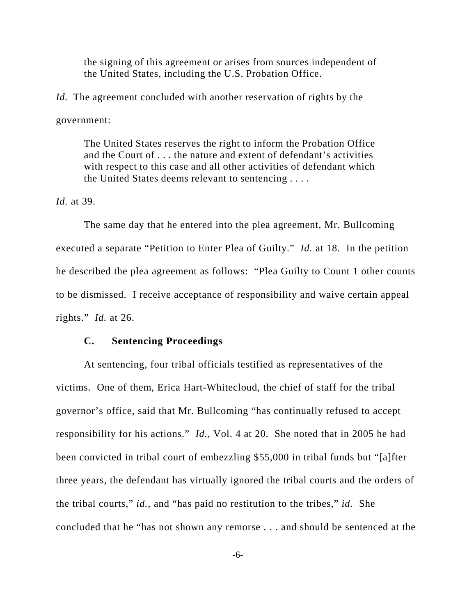the signing of this agreement or arises from sources independent of the United States, including the U.S. Probation Office.

*Id.* The agreement concluded with another reservation of rights by the government:

The United States reserves the right to inform the Probation Office and the Court of . . . the nature and extent of defendant's activities with respect to this case and all other activities of defendant which the United States deems relevant to sentencing . . . .

*Id.* at 39.

The same day that he entered into the plea agreement, Mr. Bullcoming executed a separate "Petition to Enter Plea of Guilty." *Id.* at 18. In the petition he described the plea agreement as follows: "Plea Guilty to Count 1 other counts to be dismissed. I receive acceptance of responsibility and waive certain appeal rights." *Id.* at 26.

#### **C. Sentencing Proceedings**

At sentencing, four tribal officials testified as representatives of the victims. One of them, Erica Hart-Whitecloud, the chief of staff for the tribal governor's office, said that Mr. Bullcoming "has continually refused to accept responsibility for his actions." *Id.*, Vol. 4 at 20. She noted that in 2005 he had been convicted in tribal court of embezzling \$55,000 in tribal funds but "[a]fter three years, the defendant has virtually ignored the tribal courts and the orders of the tribal courts," *id.*, and "has paid no restitution to the tribes," *id.*She concluded that he "has not shown any remorse . . . and should be sentenced at the

-6-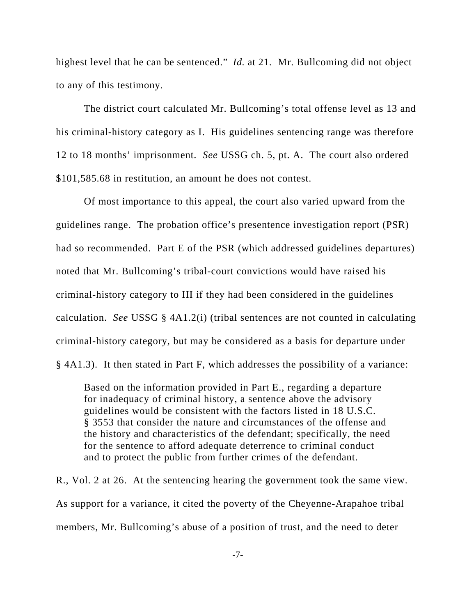highest level that he can be sentenced." *Id.* at 21.Mr. Bullcoming did not object to any of this testimony.

The district court calculated Mr. Bullcoming's total offense level as 13 and his criminal-history category as I. His guidelines sentencing range was therefore 12 to 18 months' imprisonment. *See* USSG ch. 5, pt. A. The court also ordered \$101,585.68 in restitution, an amount he does not contest.

Of most importance to this appeal, the court also varied upward from the guidelines range. The probation office's presentence investigation report (PSR) had so recommended. Part E of the PSR (which addressed guidelines departures) noted that Mr. Bullcoming's tribal-court convictions would have raised his criminal-history category to III if they had been considered in the guidelines calculation. *See* USSG § 4A1.2(i) (tribal sentences are not counted in calculating criminal-history category, but may be considered as a basis for departure under § 4A1.3). It then stated in Part F, which addresses the possibility of a variance:

Based on the information provided in Part E., regarding a departure for inadequacy of criminal history, a sentence above the advisory guidelines would be consistent with the factors listed in 18 U.S.C. § 3553 that consider the nature and circumstances of the offense and the history and characteristics of the defendant; specifically, the need for the sentence to afford adequate deterrence to criminal conduct and to protect the public from further crimes of the defendant.

R., Vol. 2 at 26. At the sentencing hearing the government took the same view. As support for a variance, it cited the poverty of the Cheyenne-Arapahoe tribal members, Mr. Bullcoming's abuse of a position of trust, and the need to deter

-7-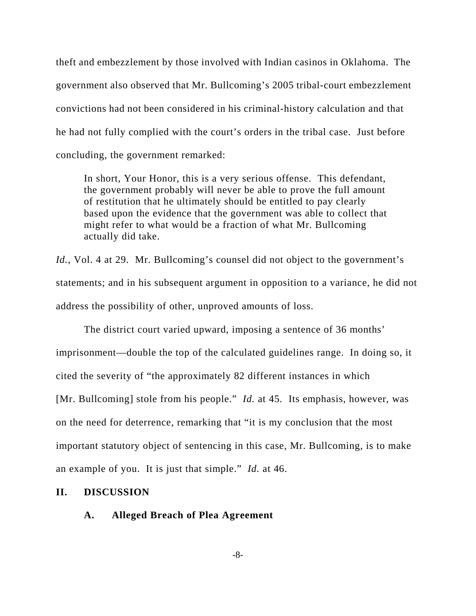theft and embezzlement by those involved with Indian casinos in Oklahoma. The government also observed that Mr. Bullcoming's 2005 tribal-court embezzlement convictions had not been considered in his criminal-history calculation and that he had not fully complied with the court's orders in the tribal case. Just before concluding, the government remarked:

In short, Your Honor, this is a very serious offense. This defendant, the government probably will never be able to prove the full amount of restitution that he ultimately should be entitled to pay clearly based upon the evidence that the government was able to collect that might refer to what would be a fraction of what Mr. Bullcoming actually did take.

*Id.*, Vol. 4 at 29. Mr. Bullcoming's counsel did not object to the government's statements; and in his subsequent argument in opposition to a variance, he did not address the possibility of other, unproved amounts of loss.

The district court varied upward, imposing a sentence of 36 months' imprisonment—double the top of the calculated guidelines range. In doing so, it cited the severity of "the approximately 82 different instances in which [Mr. Bullcoming] stole from his people." *Id.* at 45. Its emphasis, however, was on the need for deterrence, remarking that "it is my conclusion that the most important statutory object of sentencing in this case, Mr. Bullcoming, is to make an example of you. It is just that simple." *Id.* at 46.

### **II. DISCUSSION**

## **A. Alleged Breach of Plea Agreement**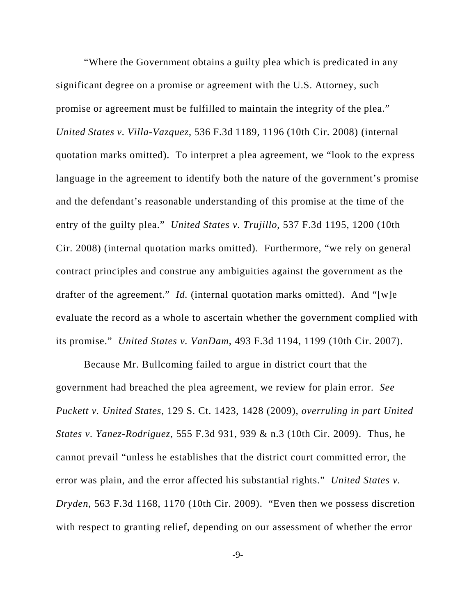"Where the Government obtains a guilty plea which is predicated in any significant degree on a promise or agreement with the U.S. Attorney, such promise or agreement must be fulfilled to maintain the integrity of the plea." *United States v. Villa-Vazquez*, 536 F.3d 1189, 1196 (10th Cir. 2008) (internal quotation marks omitted). To interpret a plea agreement, we "look to the express language in the agreement to identify both the nature of the government's promise and the defendant's reasonable understanding of this promise at the time of the entry of the guilty plea." *United States v. Trujillo*, 537 F.3d 1195, 1200 (10th Cir. 2008) (internal quotation marks omitted). Furthermore, "we rely on general contract principles and construe any ambiguities against the government as the drafter of the agreement." *Id.* (internal quotation marks omitted). And "[w]e evaluate the record as a whole to ascertain whether the government complied with its promise." *United States v. VanDam*, 493 F.3d 1194, 1199 (10th Cir. 2007).

Because Mr. Bullcoming failed to argue in district court that the government had breached the plea agreement, we review for plain error. *See Puckett v. United States*, 129 S. Ct. 1423, 1428 (2009), *overruling in part United States v. Yanez-Rodriguez*, 555 F.3d 931, 939 & n.3 (10th Cir. 2009). Thus, he cannot prevail "unless he establishes that the district court committed error, the error was plain, and the error affected his substantial rights." *United States v. Dryden*, 563 F.3d 1168, 1170 (10th Cir. 2009). "Even then we possess discretion with respect to granting relief, depending on our assessment of whether the error

-9-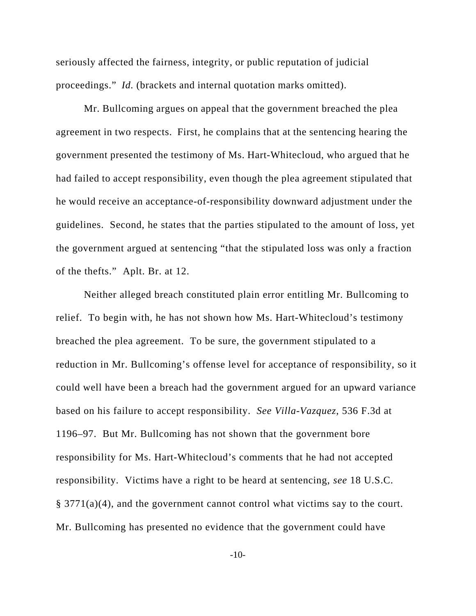seriously affected the fairness, integrity, or public reputation of judicial proceedings." *Id.* (brackets and internal quotation marks omitted).

Mr. Bullcoming argues on appeal that the government breached the plea agreement in two respects. First, he complains that at the sentencing hearing the government presented the testimony of Ms. Hart-Whitecloud, who argued that he had failed to accept responsibility, even though the plea agreement stipulated that he would receive an acceptance-of-responsibility downward adjustment under the guidelines. Second, he states that the parties stipulated to the amount of loss, yet the government argued at sentencing "that the stipulated loss was only a fraction of the thefts." Aplt. Br. at 12.

Neither alleged breach constituted plain error entitling Mr. Bullcoming to relief. To begin with, he has not shown how Ms. Hart-Whitecloud's testimony breached the plea agreement. To be sure, the government stipulated to a reduction in Mr. Bullcoming's offense level for acceptance of responsibility, so it could well have been a breach had the government argued for an upward variance based on his failure to accept responsibility. *See Villa-Vazquez*, 536 F.3d at 1196–97. But Mr. Bullcoming has not shown that the government bore responsibility for Ms. Hart-Whitecloud's comments that he had not accepted responsibility. Victims have a right to be heard at sentencing, *see* 18 U.S.C. § 3771(a)(4), and the government cannot control what victims say to the court. Mr. Bullcoming has presented no evidence that the government could have

-10-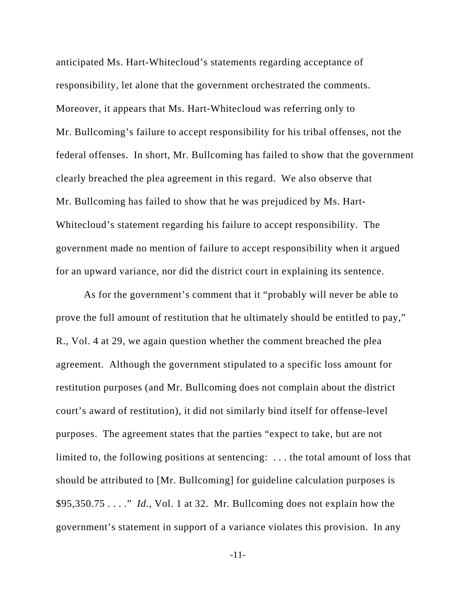anticipated Ms. Hart-Whitecloud's statements regarding acceptance of responsibility, let alone that the government orchestrated the comments. Moreover, it appears that Ms. Hart-Whitecloud was referring only to Mr. Bullcoming's failure to accept responsibility for his tribal offenses, not the federal offenses. In short, Mr. Bullcoming has failed to show that the government clearly breached the plea agreement in this regard. We also observe that Mr. Bullcoming has failed to show that he was prejudiced by Ms. Hart-Whitecloud's statement regarding his failure to accept responsibility. The government made no mention of failure to accept responsibility when it argued for an upward variance, nor did the district court in explaining its sentence.

As for the government's comment that it "probably will never be able to prove the full amount of restitution that he ultimately should be entitled to pay," R., Vol. 4 at 29, we again question whether the comment breached the plea agreement. Although the government stipulated to a specific loss amount for restitution purposes (and Mr. Bullcoming does not complain about the district court's award of restitution), it did not similarly bind itself for offense-level purposes. The agreement states that the parties "expect to take, but are not limited to, the following positions at sentencing: . . . the total amount of loss that should be attributed to [Mr. Bullcoming] for guideline calculation purposes is \$95,350.75 . . . ." *Id.*, Vol. 1 at 32. Mr. Bullcoming does not explain how the government's statement in support of a variance violates this provision. In any

-11-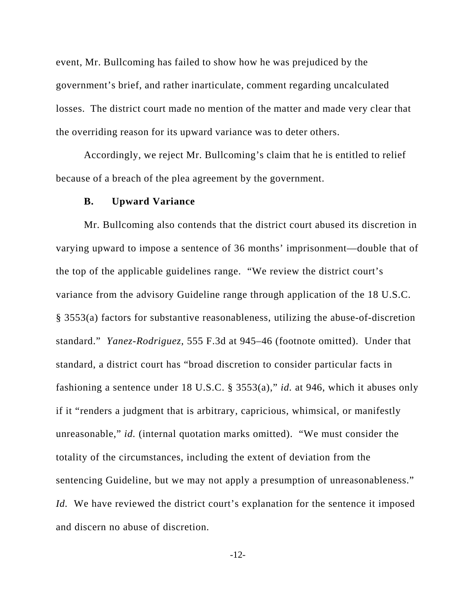event, Mr. Bullcoming has failed to show how he was prejudiced by the government's brief, and rather inarticulate, comment regarding uncalculated losses. The district court made no mention of the matter and made very clear that the overriding reason for its upward variance was to deter others.

Accordingly, we reject Mr. Bullcoming's claim that he is entitled to relief because of a breach of the plea agreement by the government.

#### **B. Upward Variance**

Mr. Bullcoming also contends that the district court abused its discretion in varying upward to impose a sentence of 36 months' imprisonment—double that of the top of the applicable guidelines range. "We review the district court's variance from the advisory Guideline range through application of the 18 U.S.C. § 3553(a) factors for substantive reasonableness, utilizing the abuse-of-discretion standard." *Yanez-Rodriguez*, 555 F.3d at 945–46 (footnote omitted). Under that standard, a district court has "broad discretion to consider particular facts in fashioning a sentence under 18 U.S.C. § 3553(a)," *id.* at 946, which it abuses only if it "renders a judgment that is arbitrary, capricious, whimsical, or manifestly unreasonable," *id.* (internal quotation marks omitted). "We must consider the totality of the circumstances, including the extent of deviation from the sentencing Guideline, but we may not apply a presumption of unreasonableness." *Id.* We have reviewed the district court's explanation for the sentence it imposed and discern no abuse of discretion.